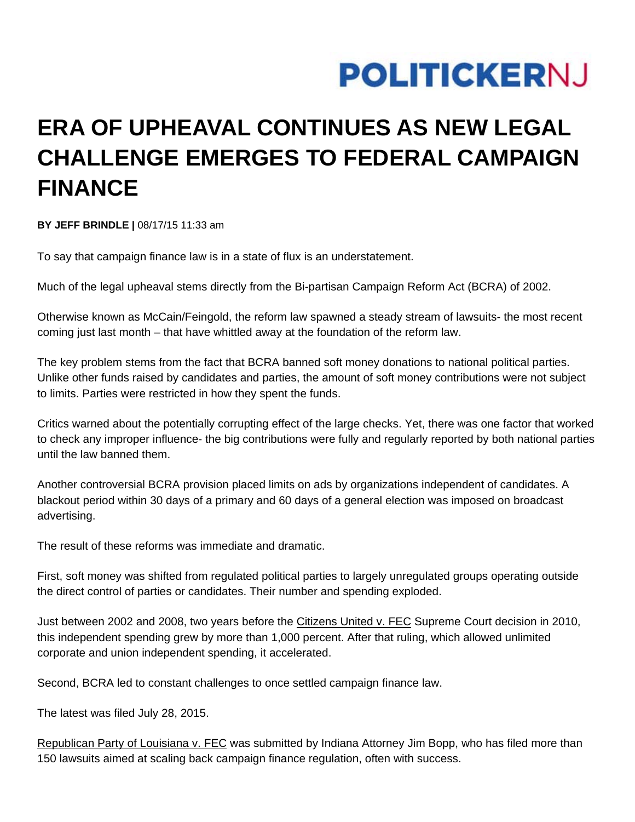## **POLITICKERNJ**

## **ERA OF UPHEAVAL CONTINUES AS NEW LEGAL CHALLENGE EMERGES TO FEDERAL CAMPAIGN FINANCE**

**BY JEFF BRINDLE |** 08/17/15 11:33 am

To say that campaign finance law is in a state of flux is an understatement.

Much of the legal upheaval stems directly from the Bi-partisan Campaign Reform Act (BCRA) of 2002.

Otherwise known as McCain/Feingold, the reform law spawned a steady stream of lawsuits- the most recent coming just last month – that have whittled away at the foundation of the reform law.

The key problem stems from the fact that BCRA banned soft money donations to national political parties. Unlike other funds raised by candidates and parties, the amount of soft money contributions were not subject to limits. Parties were restricted in how they spent the funds.

Critics warned about the potentially corrupting effect of the large checks. Yet, there was one factor that worked to check any improper influence- the big contributions were fully and regularly reported by both national parties until the law banned them.

Another controversial BCRA provision placed limits on ads by organizations independent of candidates. A blackout period within 30 days of a primary and 60 days of a general election was imposed on broadcast advertising.

The result of these reforms was immediate and dramatic.

First, soft money was shifted from regulated political parties to largely unregulated groups operating outside the direct control of parties or candidates. Their number and spending exploded.

Just between 2002 and 2008, two years before the Citizens United v. FEC Supreme Court decision in 2010, this independent spending grew by more than 1,000 percent. After that ruling, which allowed unlimited corporate and union independent spending, it accelerated.

Second, BCRA led to constant challenges to once settled campaign finance law.

The latest was filed July 28, 2015.

Republican Party of Louisiana v. FEC was submitted by Indiana Attorney Jim Bopp, who has filed more than 150 lawsuits aimed at scaling back campaign finance regulation, often with success.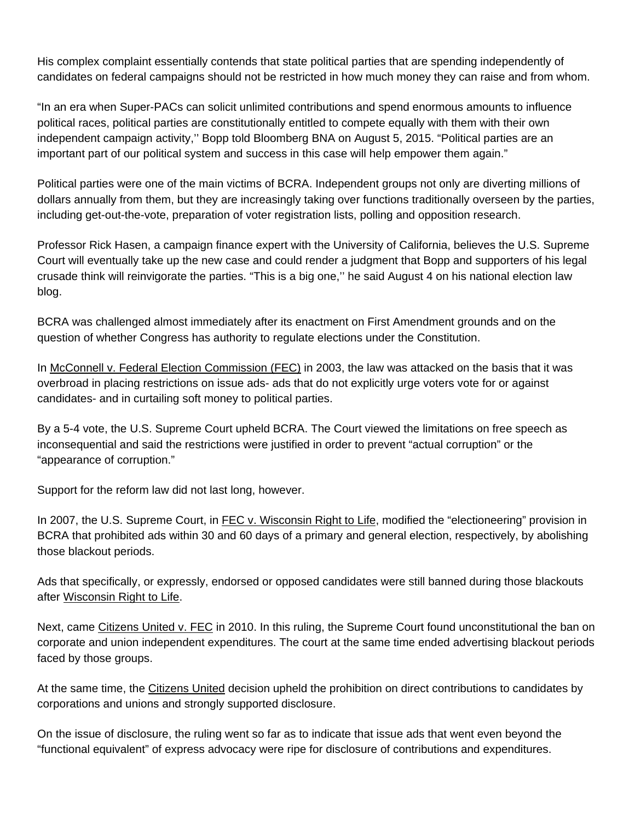His complex complaint essentially contends that state political parties that are spending independently of candidates on federal campaigns should not be restricted in how much money they can raise and from whom.

"In an era when Super-PACs can solicit unlimited contributions and spend enormous amounts to influence political races, political parties are constitutionally entitled to compete equally with them with their own independent campaign activity,'' Bopp told Bloomberg BNA on August 5, 2015. "Political parties are an important part of our political system and success in this case will help empower them again."

Political parties were one of the main victims of BCRA. Independent groups not only are diverting millions of dollars annually from them, but they are increasingly taking over functions traditionally overseen by the parties, including get-out-the-vote, preparation of voter registration lists, polling and opposition research.

Professor Rick Hasen, a campaign finance expert with the University of California, believes the U.S. Supreme Court will eventually take up the new case and could render a judgment that Bopp and supporters of his legal crusade think will reinvigorate the parties. "This is a big one,'' he said August 4 on his national election law blog.

BCRA was challenged almost immediately after its enactment on First Amendment grounds and on the question of whether Congress has authority to regulate elections under the Constitution.

In McConnell v. Federal Election Commission (FEC) in 2003, the law was attacked on the basis that it was overbroad in placing restrictions on issue ads- ads that do not explicitly urge voters vote for or against candidates- and in curtailing soft money to political parties.

By a 5-4 vote, the U.S. Supreme Court upheld BCRA. The Court viewed the limitations on free speech as inconsequential and said the restrictions were justified in order to prevent "actual corruption" or the "appearance of corruption."

Support for the reform law did not last long, however.

In 2007, the U.S. Supreme Court, in FEC v. Wisconsin Right to Life, modified the "electioneering" provision in BCRA that prohibited ads within 30 and 60 days of a primary and general election, respectively, by abolishing those blackout periods.

Ads that specifically, or expressly, endorsed or opposed candidates were still banned during those blackouts after Wisconsin Right to Life.

Next, came Citizens United v. FEC in 2010. In this ruling, the Supreme Court found unconstitutional the ban on corporate and union independent expenditures. The court at the same time ended advertising blackout periods faced by those groups.

At the same time, the Citizens United decision upheld the prohibition on direct contributions to candidates by corporations and unions and strongly supported disclosure.

On the issue of disclosure, the ruling went so far as to indicate that issue ads that went even beyond the "functional equivalent" of express advocacy were ripe for disclosure of contributions and expenditures.